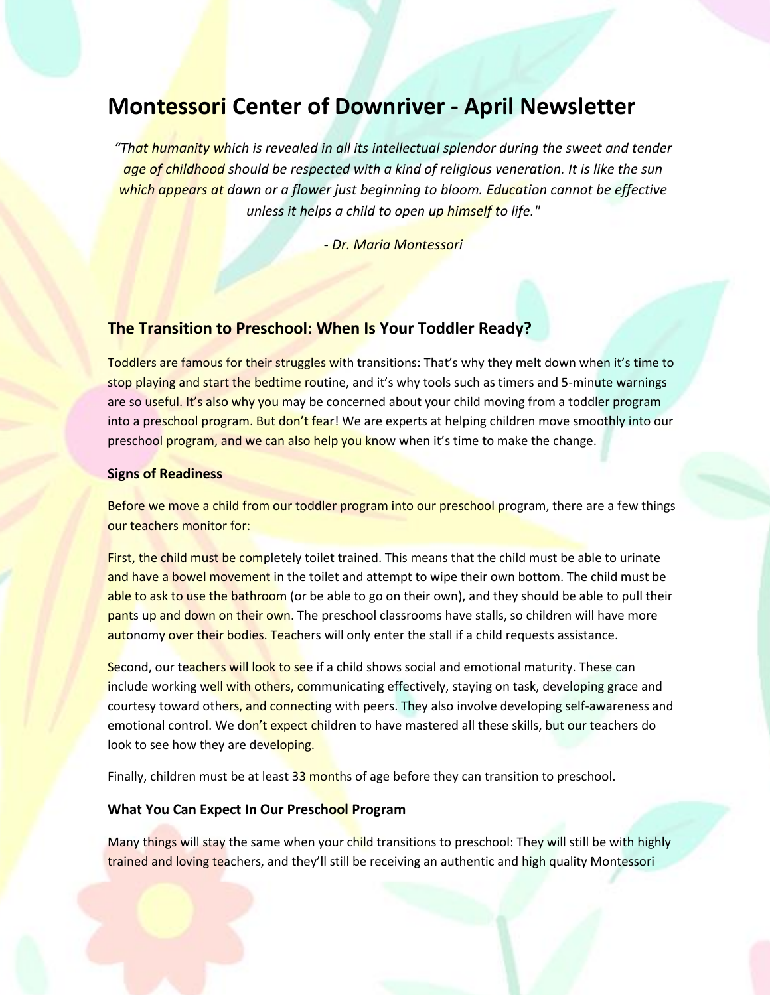# **Montessori Center of Downriver - April Newsletter**

*"That humanity which is revealed in all its intellectual splendor during the sweet and tender age of childhood should be respected with a kind of religious veneration. It is like the sun which appears at dawn or a flower just beginning to bloom. Education cannot be effective unless it helps a child to open up himself to life."*

*- Dr. Maria Montessori*

## **The Transition to Preschool: When Is Your Toddler Ready?**

Toddlers are famous for their struggles with transitions: That's why they melt down when it's time to stop playing and start the bedtime routine, and it's why tools such as timers and 5-minute warnings are so useful. It's also why you may be concerned about your child moving from a toddler program into a preschool program. But don't fear! We are experts at helping children move smoothly into our preschool program, and we can also help you know when it's time to make the change.

#### **Signs of Readiness**

Before we move a child from our toddler program into our preschool program, there are a few things our teachers monitor for:

First, the child must be completely toilet trained. This means that the child must be able to urinate and have a bowel movement in the toilet and attempt to wipe their own bottom. The child must be able to ask to use the bathroom (or be able to go on their own), and they should be able to pull their pants up and down on their own. The preschool classrooms have stalls, so children will have more autonomy over their bodies. Teachers will only enter the stall if a child requests assistance.

Second, our teachers will look to see if a child shows social and emotional maturity. These can include working well with others, communicating effectively, staying on task, developing grace and courtesy toward others, and connecting with peers. They also involve developing self-awareness and emotional control. We don't expect children to have mastered all these skills, but our teachers do look to see how they are developing.

Finally, children must be at least 33 months of age before they can transition to preschool.

#### **What You Can Expect In Our Preschool Program**

Many things will stay the same when your child transitions to preschool: They will still be with highly trained and loving teachers, and they'll still be receiving an authentic and high quality Montessori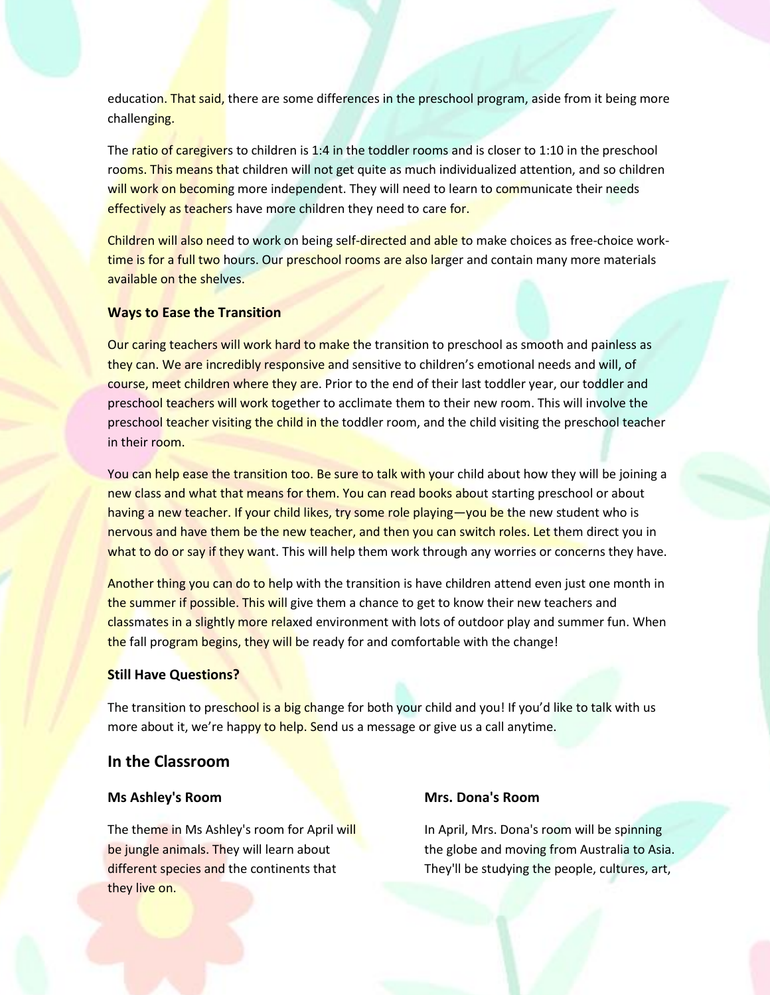education. That said, there are some differences in the preschool program, aside from it being more challenging.

The ratio of caregivers to children is 1:4 in the toddler rooms and is closer to 1:10 in the preschool rooms. This means that children will not get quite as much individualized attention, and so children will work on becoming more independent. They will need to learn to communicate their needs effectively as teachers have more children they need to care for.

Children will also need to work on being self-directed and able to make choices as free-choice worktime is for a full two hours. Our preschool rooms are also larger and contain many more materials available on the shelves.

#### **Ways to Ease the Transition**

Our caring teachers will work hard to make the transition to preschool as smooth and painless as they can. We are incredibly responsive and sensitive to children's emotional needs and will, of course, meet children where they are. Prior to the end of their last toddler year, our toddler and preschool teachers will work together to acclimate them to their new room. This will involve the preschool teacher visiting the child in the toddler room, and the child visiting the preschool teacher in their room.

You can help ease the transition too. Be sure to talk with your child about how they will be joining a new class and what that means for them. You can read books about starting preschool or about having a new teacher. If your child likes, try some role playing—you be the new student who is nervous and have them be the new teacher, and then you can switch roles. Let them direct you in what to do or say if they want. This will help them work through any worries or concerns they have.

Another thing you can do to help with the transition is have children attend even just one month in the summer if possible. This will give them a chance to get to know their new teachers and classmates in a slightly more relaxed environment with lots of outdoor play and summer fun. When the fall program begins, they will be ready for and comfortable with the change!

#### **Still Have Questions?**

The transition to preschool is a big change for both your child and you! If you'd like to talk with us more about it, we're happy to help. Send us a message or give us a call anytime.

## **In the Classroom**

### **Ms Ashley's Room**

The theme in Ms Ashley's room for April will be jungle animals. They will learn about different species and the continents that they live on.

#### **Mrs. Dona's Room**

In April, Mrs. Dona's room will be spinning the globe and moving from Australia to Asia. They'll be studying the people, cultures, art,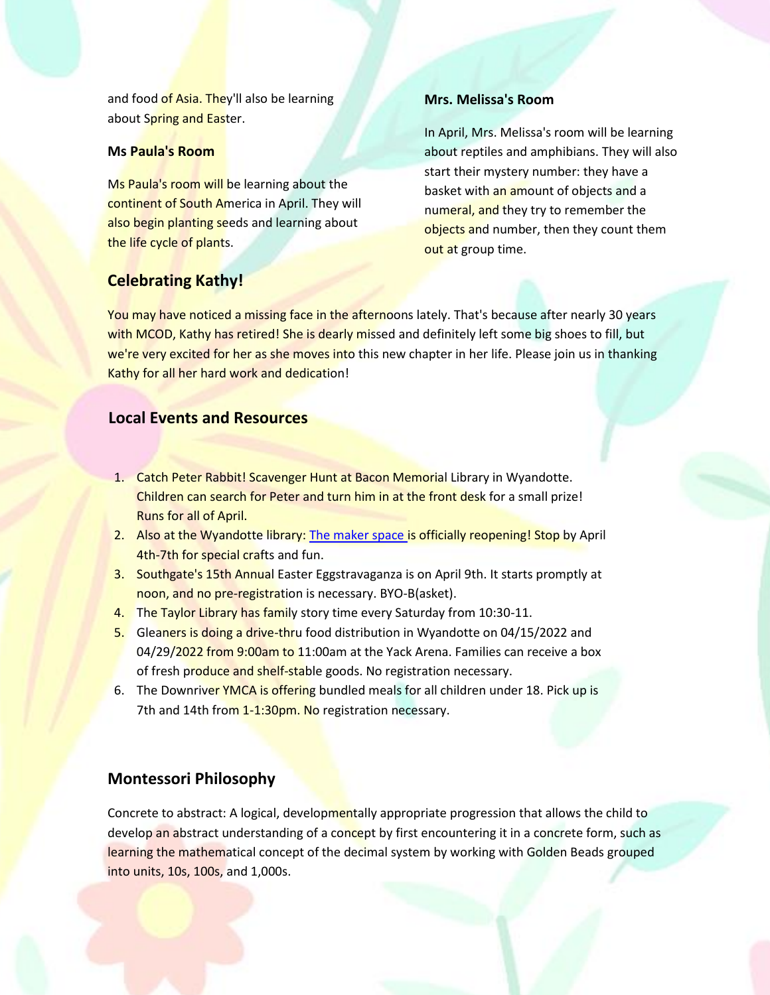and food of Asia. They'll also be learning about Spring and Easter.

## **Ms Paula's Room**

Ms Paula's room will be learning about the continent of South America in April. They will also begin planting seeds and learning about the life cycle of plants.

## **Mrs. Melissa's Room**

In April, Mrs. Melissa's room will be learning about reptiles and amphibians. They will also start their mystery number: they have a basket with an amount of objects and a numeral, and they try to remember the objects and number, then they count them out at group time.

# **Celebrating Kathy!**

You may have noticed a missing face in the afternoons lately. That's because after nearly 30 years with MCOD, Kathy has retired! She is dearly missed and definitely left some big shoes to fill, but we're very excited for her as she moves into this new chapter in her life. Please join us in thanking Kathy for all her hard work and dedication!

## **Local Events and Resources**

- 1. Catch Peter Rabbit! Scavenger Hunt at Bacon Memorial Library in Wyandotte. Children can search for Peter and turn him in at the front desk for a small prize! Runs for all of April.
- 2. Also at the Wyandotte library: [The maker space](https://bacon.evanced.info/signup/EventDetails?EventId=20385&df=list&backTo=List&startDate=2022/03/14&endDate=2022/04/13) is officially reopening! Stop by April 4th-7th for special crafts and fun.
- 3. Southgate's 15th Annual Easter Eggstravaganza is on April 9th. It starts promptly at noon, and no pre-registration is necessary. BYO-B(asket).
- 4. The Taylor Library has family story time every Saturday from 10:30-11.
- 5. Gleaners is doing a drive-thru food distribution in Wyandotte on 04/15/2022 and 04/29/2022 from 9:00am to 11:00am at the Yack Arena. Families can receive a box of fresh produce and shelf-stable goods. No registration necessary.
- 6. The Downriver YMCA is offering bundled meals for all children under 18. Pick up is 7th and 14th from 1-1:30pm. No registration necessary.

# **Montessori Philosophy**

Concrete to abstract: A logical, developmentally appropriate progression that allows the child to develop an abstract understanding of a concept by first encountering it in a concrete form, such as learning the mathematical concept of the decimal system by working with Golden Beads grouped into units, 10s, 100s, and 1,000s.